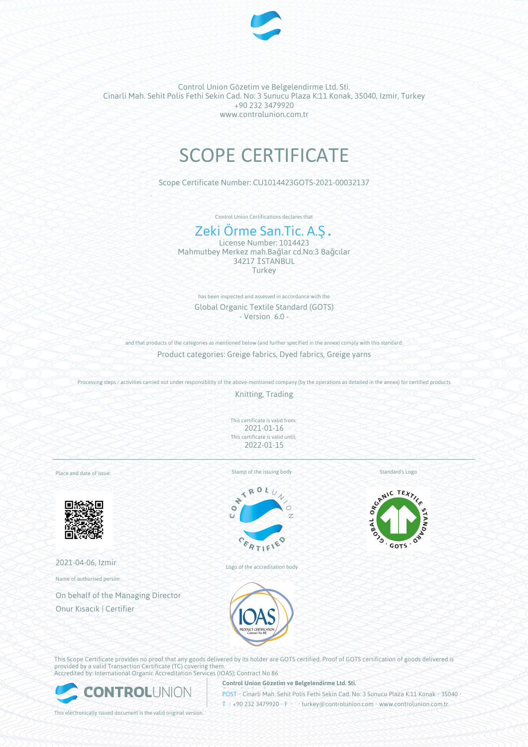

Control Union Gözetim ve Belgelendirme Ltd. Sti. Cinarli Mah. Sehit Polis Fethi Sekin Cad. No: 3 Sunucu Plaza K:11 Konak, 35040, Izmir, Turkey +90 232 3479920 www.controlunion.com.tr

# SCOPE CERTIFICATE

Scope Certificate Number: CU1014423GOTS-2021-00032137

Control Union Certifications declares that

## Zeki Örme San.Tic. A.Ş.

License Number: 1014423 Mahmutbey Merkez mah.Bağlar cd.No:3 Bağcılar 34217 İSTANBUL **Turkey** 

has been inspected and assessed in accordance with the Global Organic Textile Standard (GOTS) - Version 6.0 -

and that products of the categories as mentioned below (and further specified in the annex) comply with this standard: Product categories: Greige fabrics, Dyed fabrics, Greige yarns

Processing steps / activities carried out under responsibility of the above-mentioned company (by the operations as detailed in the annex) for certified products

Knitting, Trading

This certificate is valid from: 2021-01-16 This certificate is valid until: 2022-01-15

Place and date of issue:



2021-04-06, Izmir

Name of authorised person:

On behalf of the Managing Director Onur Kısacık | Certifier





Logo of the accreditation body

Standard's Logo



This Scope Certificate provides no proof that any goods delivered by its holder are GOTS certified. Proof of GOTS certification of goods delivered is provided by a valid Transaction Certificate (TC) covering them. Accredited by: International Organic Accreditation Services (IOAS); Contract No 86



**Control Union Gözetim ve Belgelendirme Ltd. Sti.**

POST • Cinarli Mah. Sehit Polis Fethi Sekin Cad. No: 3 Sunucu Plaza K:11 Konak • 35040

This electronically issued document is the valid original version.

T • +90 232 3479920 • F • • turkey@controlunion.com • www.controlunion.com.tr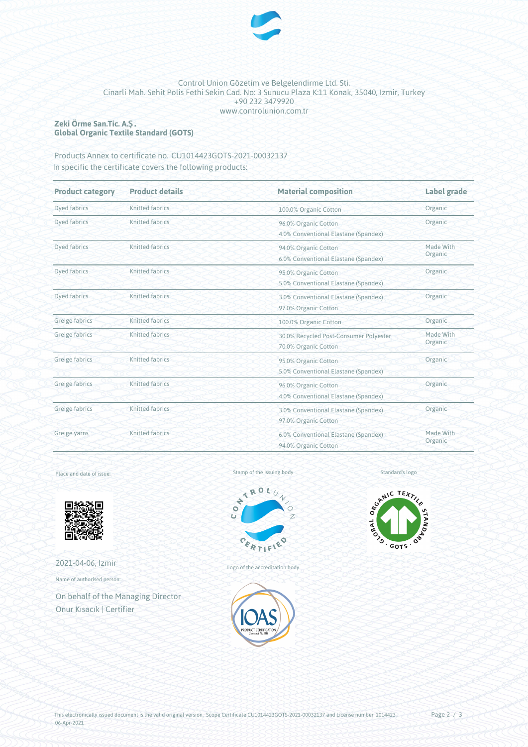

#### Control Union Gözetim ve Belgelendirme Ltd. Sti. Cinarli Mah. Sehit Polis Fethi Sekin Cad. No: 3 Sunucu Plaza K:11 Konak, 35040, Izmir, Turkey +90 232 3479920 www.controlunion.com.tr

### **Zeki Örme San.Tic. A.Ş. Global Organic Textile Standard (GOTS)**

Products Annex to certificate no. CU1014423GOTS-2021-00032137 In specific the certificate covers the following products:

| <b>Product category</b> | <b>Product details</b> | <b>Material composition</b>                                    | Label grade<br>Organic |  |
|-------------------------|------------------------|----------------------------------------------------------------|------------------------|--|
| Dyed fabrics            | Knitted fabrics        | 100.0% Organic Cotton                                          |                        |  |
| Dyed fabrics            | <b>Knitted fabrics</b> | 96.0% Organic Cotton<br>4.0% Conventional Elastane (Spandex)   | Organic                |  |
| Dyed fabrics            | Knitted fabrics        | 94.0% Organic Cotton<br>6.0% Conventional Elastane (Spandex)   | Made With<br>Organic   |  |
| Dyed fabrics            | Knitted fabrics        | 95.0% Organic Cotton<br>5.0% Conventional Elastane (Spandex)   | Organic                |  |
| Dyed fabrics            | Knitted fabrics        | 3.0% Conventional Elastane (Spandex)<br>97.0% Organic Cotton   | Organic                |  |
| Greige fabrics          | <b>Knitted fabrics</b> | 100.0% Organic Cotton                                          | Organic                |  |
| Greige fabrics          | Knitted fabrics        | 30.0% Recycled Post-Consumer Polyester<br>70.0% Organic Cotton | Made With<br>Organic   |  |
| Greige fabrics          | Knitted fabrics        | 95.0% Organic Cotton<br>5.0% Conventional Elastane (Spandex)   | Organic                |  |
| Greige fabrics          | Knitted fabrics        | 96.0% Organic Cotton<br>4.0% Conventional Elastane (Spandex)   | Organic                |  |
| Greige fabrics          | <b>Knitted fabrics</b> | 3.0% Conventional Elastane (Spandex)<br>97.0% Organic Cotton   | Organic                |  |
| Greige yarns            | Knitted fabrics        | 6.0% Conventional Elastane (Spandex)<br>94.0% Organic Cotton   | Made With<br>Organic   |  |

#### Place and date of issue:



2021-04-06, Izmir

Name of authorised person:

On behalf of the Managing Director Onur Kısacık | Certifier





Logo of the accreditation body





Page 2 / 3